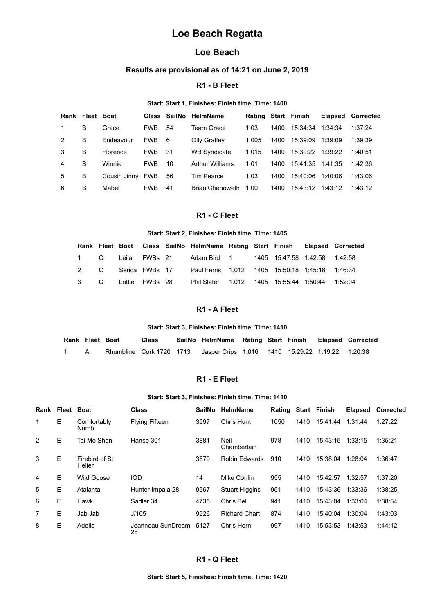# **Loe Beach Regatta**

# **Loe Beach**

# **Results are provisional as of 14:21 on June 2, 2019**

# **R1 B Fleet**

#### **Start: Start 1, Finishes: Finish time, Time: 1400**

| Rank           | Fleet Boat |              |            |     | Class SailNo HelmName  | Rating Start Finish |      |                  |         | <b>Elapsed Corrected</b> |
|----------------|------------|--------------|------------|-----|------------------------|---------------------|------|------------------|---------|--------------------------|
| $\mathbf{1}$   | B          | Grace        | <b>FWB</b> | 54  | Team Grace             | 1.03                | 1400 | 15:34:34 1:34:34 |         | 1:37:24                  |
| 2              | B          | Endeavour    | <b>FWB</b> | - 6 | Olly Graffey           | 1.005               | 1400 | 15:39:09 1:39:09 |         | 1:39:39                  |
| 3              | B          | Florence     | <b>FWB</b> | -31 | <b>WB Syndicate</b>    | 1.015               | 1400 | 15:39:22 1:39:22 |         | 1:40:51                  |
| $\overline{4}$ | B          | Winnie       | <b>FWB</b> | 10  | <b>Arthur Williams</b> | 1.01                | 1400 | 15:41:35 1:41:35 |         | 1:42:36                  |
| 5              | B          | Cousin Jinny | FWB        | 56  | <b>Tim Pearce</b>      | 1.03                | 1400 | 15:40:06         | 1:40:06 | 1:43:06                  |
| 6              | B          | Mabel        | <b>FWB</b> | 41  | Brian Chenoweth        | 1.00                | 1400 | 15:43:12         | 1:43:12 | 1:43:12                  |

### **R1 C Fleet**

#### **Start: Start 2, Finishes: Finish time, Time: 1405**

|  |  | Rank Fleet Boat Class SailNo HelmName Rating Start Finish Elapsed Corrected |  |  |  |
|--|--|-----------------------------------------------------------------------------|--|--|--|
|  |  | 1 C Leila FWBs 21 Adam Bird 1 1405 15:47:58 1:42:58 1:42:58                 |  |  |  |
|  |  | 2 C Serica FWBs 17 Paul Ferris 1.012 1405 15:50:18 1:45:18 1:46:34          |  |  |  |
|  |  | 3 C Lottie FWBs 28 Phil Slater 1.012 1405 15:55:44 1:50:44 1:52:04          |  |  |  |

#### **R1 A Fleet**

#### **Start: Start 3, Finishes: Finish time, Time: 1410**

|                | Rank Fleet Boat | Class | SailNo HelmName Rating Start Finish Elapsed Corrected                     |  |  |  |
|----------------|-----------------|-------|---------------------------------------------------------------------------|--|--|--|
| $\overline{A}$ |                 |       | Rhumbline Cork 1720 1713 Jasper Crips 1.016 1410 15:29:22 1:19:22 1:20:38 |  |  |  |

# **R1 E Fleet**

#### **Start: Start 3, Finishes: Finish time, Time: 1410**

| Rank | Fleet | <b>Boat</b>              | <b>Class</b>            | <b>SailNo</b> | HelmName              | Rating |      | Start Finish | <b>Elapsed</b> | Corrected |
|------|-------|--------------------------|-------------------------|---------------|-----------------------|--------|------|--------------|----------------|-----------|
| 1    | Е     | Comfortably<br>Numb      | <b>Flying Fifteen</b>   | 3597          | Chris Hunt            | 1050   | 1410 | 15:41:44     | 1:31:44        | 1:27:22   |
| 2    | Е     | Tai Mo Shan              | Hanse 301               | 3881          | Neil<br>Chamberlain   | 978    | 1410 | 15:43:15     | 1:33:15        | 1:35:21   |
| 3    | Е     | Firebird of St<br>Helier |                         | 3879          | Robin Edwards         | 910    | 1410 | 15:38:04     | 1:28:04        | 1:36:47   |
| 4    | E     | Wild Goose               | IOD                     | 14            | <b>Mike Conlin</b>    | 955    | 1410 | 15:42:57     | 1:32:57        | 1:37:20   |
| 5    | E     | Atalanta                 | Hunter Impala 28        | 9567          | <b>Stuart Higgins</b> | 951    | 1410 | 15:43:36     | 1:33:36        | 1:38:25   |
| 6    | E     | Hawk                     | Sadler 34               | 4735          | Chris Bell            | 941    | 1410 | 15:43:04     | 1:33:04        | 1:38:54   |
| 7    | Е     | Jab Jab                  | J/105                   | 9926          | <b>Richard Chart</b>  | 874    | 1410 | 15:40:04     | 1:30:04        | 1:43:03   |
| 8    | Е     | Adelie                   | Jeanneau SunDream<br>28 | 5127          | Chris Horn            | 997    | 1410 | 15:53:53     | 1:43:53        | 1:44:12   |

# **R1 Q Fleet**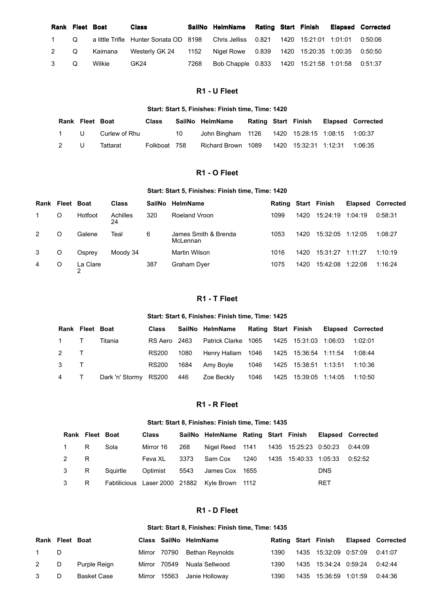| Rank Fleet Boat |         | Class                                                                                   |      | SailNo HelmName Rating Start Finish Elapsed Corrected |  |  |  |
|-----------------|---------|-----------------------------------------------------------------------------------------|------|-------------------------------------------------------|--|--|--|
| 1 Q             |         | a little Trifle Hunter Sonata OD 8198 Chris Jelliss 0.821 1420 15:21:01 1:01:01 0:50:06 |      |                                                       |  |  |  |
| 2 $\Omega$      | Kaimana | Westerly GK 24   1152   Nigel Rowe   0.839   1420  15:20:35  1:00:35   0:50:50          |      |                                                       |  |  |  |
| $3^{\circ}$ Q   | Wilkie  | GK24                                                                                    | 7268 | Bob Chapple 0.833 1420 15:21:58 1:01:58 0:51:37       |  |  |  |

#### **R1 U Fleet**

#### **Start: Start 5, Finishes: Finish time, Time: 1420**

| Rank Fleet Boat |                   | Class        |              | SailNo HelmName                                 |  |  | Rating Start Finish Elapsed Corrected |
|-----------------|-------------------|--------------|--------------|-------------------------------------------------|--|--|---------------------------------------|
|                 | 1 U Curlew of Rhu |              | 10 <b>11</b> | John Bingham 1126 1420 15:28:15 1:08:15 1:00:37 |  |  |                                       |
| $2 \cup$        | Tattarat          | Folkboat 758 |              | Richard Brown 1089                              |  |  |                                       |

# **R1 O Fleet**

#### **Start: Start 5, Finishes: Finish time, Time: 1420**

| Rank | Fleet Boat |               | <b>Class</b>   | <b>SailNo</b> | HelmName                         | Rating Start Finish |      |          |         | <b>Elapsed Corrected</b> |
|------|------------|---------------|----------------|---------------|----------------------------------|---------------------|------|----------|---------|--------------------------|
|      | O          | Hotfoot       | Achilles<br>24 | 320           | Roeland Vroon                    | 1099                | 1420 | 15:24:19 | 1:04:19 | 0:58:31                  |
| 2    | O          | Galene        | Teal           | 6             | James Smith & Brenda<br>McLennan | 1053                | 1420 | 15:32:05 | 1:12:05 | 1:08:27                  |
| 3    | O          | Osprey        | Moody 34       |               | Martin Wilson                    | 1016                | 1420 | 15:31:27 | 1:11:27 | 1:10:19                  |
| 4    | O          | La Clare<br>ົ |                | 387           | Graham Dyer                      | 1075                | 1420 | 15:42:08 | 1:22:08 | 1:16:24                  |

# **R1 T Fleet**

#### **Start: Start 6, Finishes: Finish time, Time: 1425**

|                  | Rank Fleet Boat |                               | Class      | SailNo HelmName Rating Start Finish Elapsed Corrected                |  |  |  |
|------------------|-----------------|-------------------------------|------------|----------------------------------------------------------------------|--|--|--|
|                  |                 | 1 T Titania                   |            | RS Aero 2463  Patrick Clarke  1065  1425  15:31:03  1:06:03  1:02:01 |  |  |  |
| 2 T              |                 |                               | RS200 1080 | Henry Hallam 1046 1425 15:36:54 1:11:54 1:08:44                      |  |  |  |
| $3 \overline{1}$ |                 |                               | RS200 1684 |                                                                      |  |  |  |
|                  |                 | 4 T Dark 'n' Stormy RS200 446 |            |                                                                      |  |  |  |

#### **R1 R Fleet**

#### **Start: Start 8, Finishes: Finish time, Time: 1435**

| Rank Fleet Boat |      | Class         | SailNo HelmName Rating Start Finish Elapsed Corrected |  |                       |            |         |
|-----------------|------|---------------|-------------------------------------------------------|--|-----------------------|------------|---------|
| 1 R             | Sola | Mirror 16 268 | Nigel Reed 1141 1435 15:25:23 0:50:23                 |  |                       |            | 0:44:09 |
| 2 R             |      | Feva XL       | 3373 Sam Cox 1240                                     |  | 1435 15:40:33 1:05:33 |            | 0:52:52 |
| 3 R             |      |               | Squirtle Optimist 5543 James Cox 1655                 |  |                       | <b>DNS</b> |         |
|                 |      |               | 3 R Fabtilicious Laser 2000 21882 Kyle Brown 1112     |  |                       | <b>RET</b> |         |

# **R1 D Fleet**

#### **Start: Start 8, Finishes: Finish time, Time: 1435**

| Rank Fleet Boat |     |              |  | Class SailNo HelmName        | Rating Start Finish |                                  | <b>Elapsed Corrected</b> |
|-----------------|-----|--------------|--|------------------------------|---------------------|----------------------------------|--------------------------|
| 1 D             |     |              |  | Mirror 70790 Bethan Reynolds | 1390                | 1435  15:32:09  0:57:09  0:41:07 |                          |
| 2 D             |     | Purple Reign |  | Mirror 70549 Nuala Sellwood  | 1390                | 1435 15:34:24 0:59:24 0:42:44    |                          |
| $3^{\circ}$     | - D | Basket Case  |  | Mirror 15563 Janie Holloway  | 1390                |                                  | 0:44:36                  |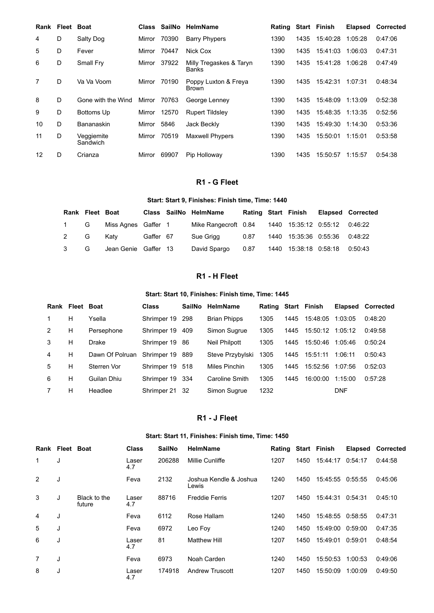|    | Rank Fleet Boat |                        |              |       | Class SailNo HelmName                | Rating |      | <b>Start Finish</b> | <b>Elapsed</b> | Corrected |
|----|-----------------|------------------------|--------------|-------|--------------------------------------|--------|------|---------------------|----------------|-----------|
| 4  | D               | Salty Dog              | Mirror       | 70390 | <b>Barry Phypers</b>                 | 1390   | 1435 | 15:40:28            | 1:05:28        | 0:47:06   |
| 5  | D               | Fever                  | Mirror       | 70447 | Nick Cox                             | 1390   | 1435 | 15:41:03            | 1:06:03        | 0:47:31   |
| 6  | D               | Small Fry              | Mirror 37922 |       | Milly Tregaskes & Taryn<br>Banks     | 1390   | 1435 | 15:41:28            | 1:06:28        | 0:47:49   |
| 7  | D               | Va Va Voom             | Mirror       | 70190 | Poppy Luxton & Freya<br><b>Brown</b> | 1390   | 1435 | 15:42:31            | 1:07:31        | 0:48:34   |
| 8  | D               | Gone with the Wind     | Mirror       | 70763 | George Lenney                        | 1390   | 1435 | 15:48:09            | 1:13:09        | 0:52:38   |
| 9  | D               | Bottoms Up             | Mirror       | 12570 | <b>Rupert Tildsley</b>               | 1390   | 1435 | 15:48:35            | 1:13:35        | 0:52:56   |
| 10 | D               | Bananaskin             | Mirror       | 5846  | Jack Beckly                          | 1390   | 1435 | 15:49:30            | 1:14:30        | 0:53:36   |
| 11 | D               | Veggiemite<br>Sandwich | Mirror       | 70519 | <b>Maxwell Phypers</b>               | 1390   | 1435 | 15:50:01            | 1:15:01        | 0:53:58   |
| 12 | D               | Crianza                | Mirror       | 69907 | Pip Holloway                         | 1390   | 1435 | 15:50:57            | 1:15:57        | 0:54:38   |

# **R1 G Fleet**

# **Start: Start 9, Finishes: Finish time, Time: 1440**

| Rank Fleet Boat |                          |           | Class SailNo HelmName                                |  |                                        | Rating Start Finish Elapsed Corrected |
|-----------------|--------------------------|-----------|------------------------------------------------------|--|----------------------------------------|---------------------------------------|
|                 | 1 G Miss Agnes Gaffer 1  |           | Mike Rangecroft 0.84 1440 15:35:12 0:55:12 0:46:22   |  |                                        |                                       |
|                 | 2 G Katv                 | Gaffer 67 | Sue Grigg                                            |  | 0.87  1440  15:35:36  0.55:36  0:48:22 |                                       |
|                 | 3 G Jean Genie Gaffer 13 |           | David Spargo  0.87  1440  15:38:18  0:58:18  0:50:43 |  |                                        |                                       |

# **R1 H Fleet**

# **Start: Start 10, Finishes: Finish time, Time: 1445**

|   | Rank Fleet Boat |                 | <b>Class</b>    | <b>SailNo</b> | <b>HelmName</b>     | Rating |      | Start Finish | Elapsed    | <b>Corrected</b> |
|---|-----------------|-----------------|-----------------|---------------|---------------------|--------|------|--------------|------------|------------------|
| 1 | н               | Ysella          | Shrimper 19     | 298           | <b>Brian Phipps</b> | 1305   | 1445 | 15:48:05     | 1:03:05    | 0:48:20          |
| 2 | н               | Persephone      | Shrimper 19     | 409           | Simon Sugrue        | 1305   | 1445 | 15:50:12     | 1:05:12    | 0:49:58          |
| 3 | н               | Drake           | Shrimper 19     | -86           | Neil Philpott       | 1305   | 1445 | 15:50:46     | 1:05:46    | 0:50:24          |
| 4 | н               | Dawn Of Polruan | Shrimper 19 889 |               | Steve Przybylski    | 1305   | 1445 | 15:51:11     | 1:06:11    | 0:50:43          |
| 5 | н               | Sterren Vor     | Shrimper 19 518 |               | Miles Pinchin       | 1305   | 1445 | 15:52:56     | 1:07:56    | 0:52:03          |
| 6 | H               | Guilan Dhiu     | Shrimper 19     | -334          | Caroline Smith      | 1305   | 1445 | 16:00:00     | 1:15:00    | 0:57:28          |
|   | н               | Headlee         | Shrimper 21     | - 32          | Simon Sugrue        | 1232   |      |              | <b>DNF</b> |                  |

### **R1 J Fleet**

# **Start: Start 11, Finishes: Finish time, Time: 1450**

| Rank Fleet Boat |   |                        | <b>Class</b> | <b>SailNo</b> | <b>HelmName</b>                 | Rating |      | Start Finish | <b>Elapsed</b> | <b>Corrected</b> |
|-----------------|---|------------------------|--------------|---------------|---------------------------------|--------|------|--------------|----------------|------------------|
| 1               | J |                        | Laser<br>4.7 | 206288        | Millie Cunliffe                 | 1207   | 1450 | 15:44:17     | 0:54:17        | 0:44:58          |
| 2               | J |                        | Feva         | 2132          | Joshua Kendle & Joshua<br>Lewis | 1240   | 1450 | 15:45:55     | 0:55:55        | 0:45:06          |
| 3               | J | Black to the<br>future | Laser<br>4.7 | 88716         | <b>Freddie Ferris</b>           | 1207   | 1450 | 15:44:31     | 0:54:31        | 0:45:10          |
| 4               | J |                        | Feva         | 6112          | Rose Hallam                     | 1240   | 1450 | 15:48:55     | 0:58:55        | 0:47:31          |
| 5               | J |                        | Feva         | 6972          | Leo Foy                         | 1240   | 1450 | 15:49:00     | 0:59:00        | 0:47:35          |
| 6               | J |                        | Laser<br>4.7 | 81            | <b>Matthew Hill</b>             | 1207   | 1450 | 15:49:01     | 0:59:01        | 0:48:54          |
| 7               | J |                        | Feva         | 6973          | Noah Carden                     | 1240   | 1450 | 15:50:53     | 1:00:53        | 0:49:06          |
| 8               | J |                        | Laser<br>4.7 | 174918        | <b>Andrew Truscott</b>          | 1207   | 1450 | 15:50:09     | 1:00:09        | 0:49:50          |